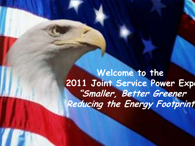Welcome to the **2011 Joint Service Power Expo "Smaller, Better Greener Reducing the Energy Footprint**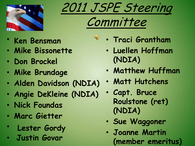





 $\bigcirc$ 

- **Ken Bensman**
- **Mike Bissonette**
- **Don Brockel**
- **Mike Brundage**
- **Alden Davidson (NDIA)**
- **Angie DeKleine (NDIA)**
- **Nick Foundas**
- **Marc Gietter**
- **Lester Gordy**
- **Justin Govar**
- **Traci Grantham**
	- **Luellen Hoffman (NDIA)**
	- **Matthew Huffman**
	- **Matt Hutchens**
	- **Capt. Bruce Roulstone (ret) (NDIA)**
	- **Sue Waggoner**
	- **Joanne Martin (member emeritus)**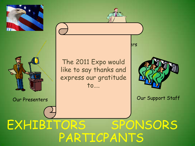



PARTICPANTS EXHIBITORS SPONSORS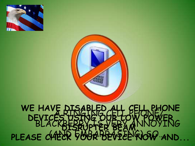



#### A RINGING CELL PHONE/ BLACKBERRY IS VERY ANNOYING  $(AB)$  EMBARRASINGION . **WE HAVE DISABLED ALL CELL PHONE DEVICES USING OUR LOW POWER DISRUPTER BEAM.** PLEASE CHECK YOUR DEVICE RIOW AND...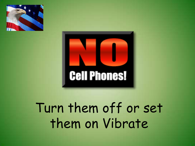



# Turn them off or set them on Vibrate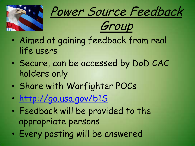





- Aimed at gaining feedback from real life users
- Secure, can be accessed by DoD CAC holders only
- Share with Warfighter POCs
- <http://go.usa.gov/b1S>
- Feedback will be provided to the appropriate persons
- Every posting will be answered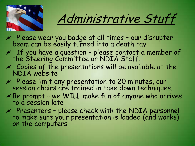

# Administrative Stuff

- $M$  Please wear you badge at all times our disrupter beam can be easily turned into a death ray
- $M$  If you have a question please contact a member of the Steering Committee or NDIA Staff.
- $\mathcal N$  Copies of the presentations will be available at the NDIA website
- $M$  Please limit any presentation to 20 minutes, our session chairs are trained in take down techniques.
- $N$  Be prompt we WILL make fun of anyone who arrives to a session late
- $M$  Presenters please check with the NDIA personnel to make sure your presentation is loaded (and works) on the computers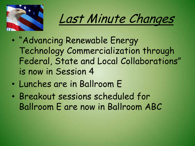

Last Minute Changes

- "Advancing Renewable Energy Technology Commercialization through Federal, State and Local Collaborations" is now in Session 4
- Lunches are in Ballroom E
- Breakout sessions scheduled for Ballroom E are now in Ballroom ABC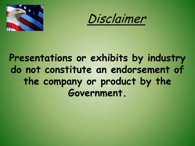



#### **Presentations or exhibits by industry do not constitute an endorsement of the company or product by the Government.**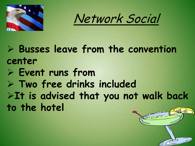

Network Social

 **Busses leave from the convention center**

- **Event runs from**
- **Two free drinks included**

**It is advised that you not walk back to the hotel**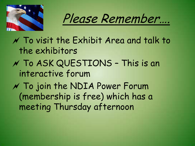

Please Remember….

 $\gamma$  To visit the Exhibit Area and talk to the exhibitors To ASK QUESTIONS – This is an interactive forum  $N$  To join the NDIA Power Forum

(membership is free) which has a meeting Thursday afternoon